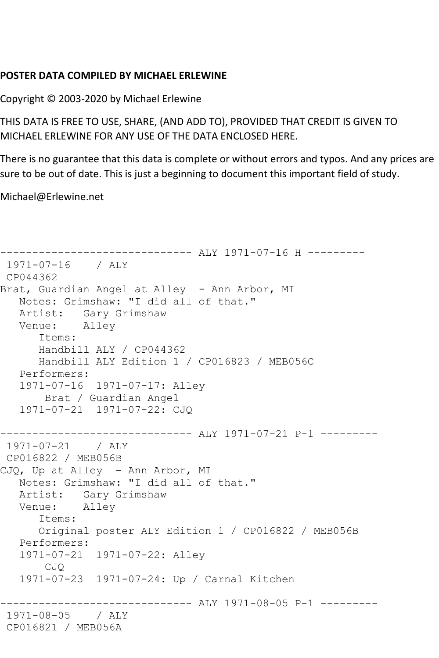## **POSTER DATA COMPILED BY MICHAEL ERLEWINE**

Copyright © 2003-2020 by Michael Erlewine

THIS DATA IS FREE TO USE, SHARE, (AND ADD TO), PROVIDED THAT CREDIT IS GIVEN TO MICHAEL ERLEWINE FOR ANY USE OF THE DATA ENCLOSED HERE.

There is no guarantee that this data is complete or without errors and typos. And any prices are sure to be out of date. This is just a beginning to document this important field of study.

Michael@Erlewine.net

```
------------------------------ ALY 1971-07-16 H ---------
1971-07-16 / ALY 
CP044362
Brat, Guardian Angel at Alley - Ann Arbor, MI
   Notes: Grimshaw: "I did all of that."
   Artist: Gary Grimshaw
   Venue: Alley
      Items:
      Handbill ALY / CP044362
      Handbill ALY Edition 1 / CP016823 / MEB056C
   Performers:
   1971-07-16 1971-07-17: Alley
        Brat / Guardian Angel
   1971-07-21 1971-07-22: CJQ
     ------------------------------ ALY 1971-07-21 P-1 ---------
1971-07-21 / ALY 
CP016822 / MEB056B
CJQ, Up at Alley - Ann Arbor, MI
   Notes: Grimshaw: "I did all of that."
  Artist: Gary Grimshaw<br>Venue: Alley
  Venue:
       Items:
      Original poster ALY Edition 1 / CP016822 / MEB056B
   Performers:
   1971-07-21 1971-07-22: Alley
       CJQ
   1971-07-23 1971-07-24: Up / Carnal Kitchen
------------------------------ ALY 1971-08-05 P-1 ---------
1971-08-05 / ALY 
CP016821 / MEB056A
```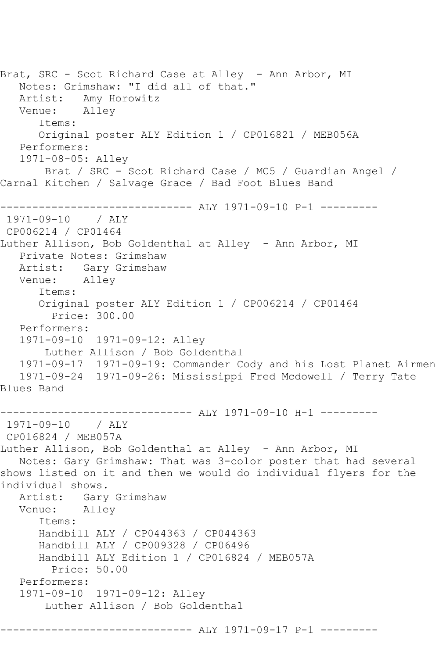Brat, SRC - Scot Richard Case at Alley - Ann Arbor, MI Notes: Grimshaw: "I did all of that."<br>Artist: Amy Horowitz Amy Horowitz<br>Alley Venue: Items: Original poster ALY Edition 1 / CP016821 / MEB056A Performers: 1971-08-05: Alley Brat / SRC - Scot Richard Case / MC5 / Guardian Angel / Carnal Kitchen / Salvage Grace / Bad Foot Blues Band --------------------- ALY 1971-09-10 P-1 ---------1971-09-10 / ALY CP006214 / CP01464 Luther Allison, Bob Goldenthal at Alley - Ann Arbor, MI Private Notes: Grimshaw Artist: Gary Grimshaw<br>Venue: Alley Venue: Items: Original poster ALY Edition 1 / CP006214 / CP01464 Price: 300.00 Performers: 1971-09-10 1971-09-12: Alley Luther Allison / Bob Goldenthal 1971-09-17 1971-09-19: Commander Cody and his Lost Planet Airmen 1971-09-24 1971-09-26: Mississippi Fred Mcdowell / Terry Tate Blues Band ------------------------------ ALY 1971-09-10 H-1 --------- 1971-09-10 / ALY CP016824 / MEB057A Luther Allison, Bob Goldenthal at Alley - Ann Arbor, MI Notes: Gary Grimshaw: That was 3-color poster that had several shows listed on it and then we would do individual flyers for the individual shows. Artist: Gary Grimshaw<br>Venue: Allev Alley Items: Handbill ALY / CP044363 / CP044363 Handbill ALY / CP009328 / CP06496 Handbill ALY Edition 1 / CP016824 / MEB057A Price: 50.00 Performers: 1971-09-10 1971-09-12: Alley Luther Allison / Bob Goldenthal ------------------------------ ALY 1971-09-17 P-1 ---------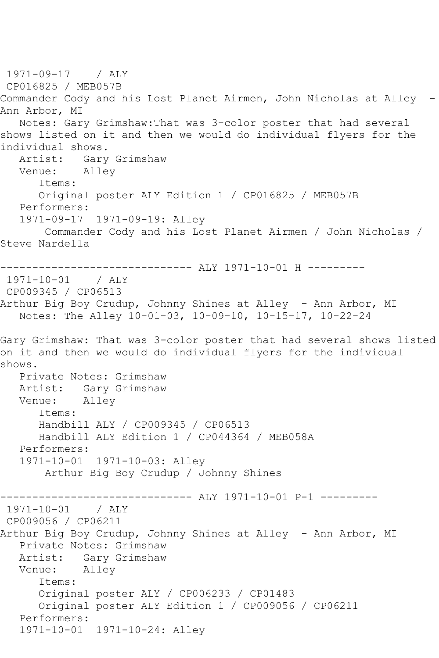1971-09-17 / ALY CP016825 / MEB057B Commander Cody and his Lost Planet Airmen, John Nicholas at Alley - Ann Arbor, MI Notes: Gary Grimshaw:That was 3-color poster that had several shows listed on it and then we would do individual flyers for the individual shows. Artist: Gary Grimshaw Venue: Alley Items: Original poster ALY Edition 1 / CP016825 / MEB057B Performers: 1971-09-17 1971-09-19: Alley Commander Cody and his Lost Planet Airmen / John Nicholas / Steve Nardella ------------------------------ ALY 1971-10-01 H --------- 1971-10-01 / ALY CP009345 / CP06513 Arthur Big Boy Crudup, Johnny Shines at Alley - Ann Arbor, MI Notes: The Alley 10-01-03, 10-09-10, 10-15-17, 10-22-24 Gary Grimshaw: That was 3-color poster that had several shows listed on it and then we would do individual flyers for the individual shows. Private Notes: Grimshaw Artist: Gary Grimshaw<br>Venue: Alley Venue: Items: Handbill ALY / CP009345 / CP06513 Handbill ALY Edition 1 / CP044364 / MEB058A Performers: 1971-10-01 1971-10-03: Alley Arthur Big Boy Crudup / Johnny Shines ------------------------------ ALY 1971-10-01 P-1 --------- 1971-10-01 / ALY CP009056 / CP06211 Arthur Big Boy Crudup, Johnny Shines at Alley - Ann Arbor, MI Private Notes: Grimshaw Artist: Gary Grimshaw Venue: Alley Items: Original poster ALY / CP006233 / CP01483 Original poster ALY Edition 1 / CP009056 / CP06211 Performers: 1971-10-01 1971-10-24: Alley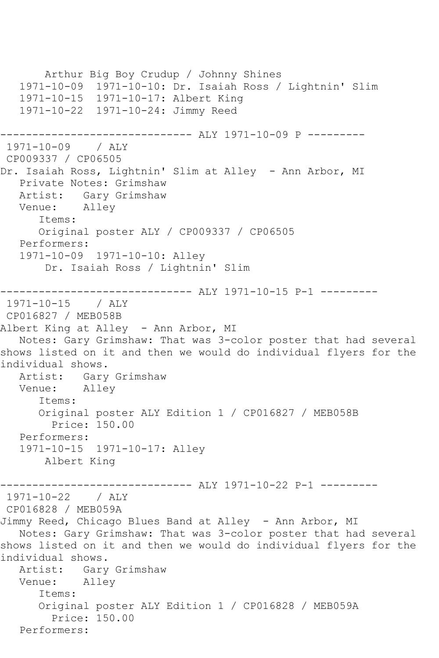Arthur Big Boy Crudup / Johnny Shines 1971-10-09 1971-10-10: Dr. Isaiah Ross / Lightnin' Slim 1971-10-15 1971-10-17: Albert King 1971-10-22 1971-10-24: Jimmy Reed ---------------------- ALY 1971-10-09 P ---------1971-10-09 / ALY CP009337 / CP06505 Dr. Isaiah Ross, Lightnin' Slim at Alley - Ann Arbor, MI Private Notes: Grimshaw Artist: Gary Grimshaw Venue: Alley Items: Original poster ALY / CP009337 / CP06505 Performers: 1971-10-09 1971-10-10: Alley Dr. Isaiah Ross / Lightnin' Slim ------------------------------ ALY 1971-10-15 P-1 --------- 1971-10-15 / ALY CP016827 / MEB058B Albert King at Alley - Ann Arbor, MI Notes: Gary Grimshaw: That was 3-color poster that had several shows listed on it and then we would do individual flyers for the individual shows. Artist: Gary Grimshaw Venue: Alley Items: Original poster ALY Edition 1 / CP016827 / MEB058B Price: 150.00 Performers: 1971-10-15 1971-10-17: Alley Albert King ----------- ALY 1971-10-22 P-1 ----------1971-10-22 / ALY CP016828 / MEB059A Jimmy Reed, Chicago Blues Band at Alley - Ann Arbor, MI Notes: Gary Grimshaw: That was 3-color poster that had several shows listed on it and then we would do individual flyers for the individual shows. Artist: Gary Grimshaw Venue: Alley Items: Original poster ALY Edition 1 / CP016828 / MEB059A Price: 150.00 Performers: